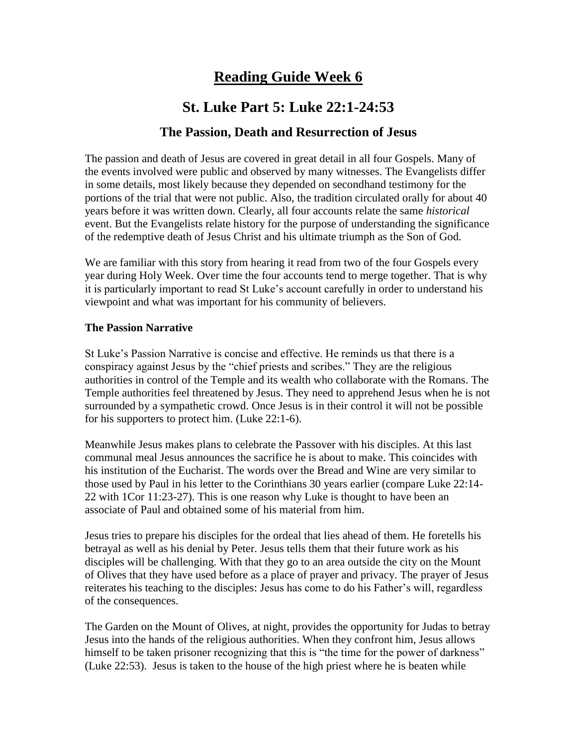# **Reading Guide Week 6**

## **St. Luke Part 5: Luke 22:1-24:53**

### **The Passion, Death and Resurrection of Jesus**

The passion and death of Jesus are covered in great detail in all four Gospels. Many of the events involved were public and observed by many witnesses. The Evangelists differ in some details, most likely because they depended on secondhand testimony for the portions of the trial that were not public. Also, the tradition circulated orally for about 40 years before it was written down. Clearly, all four accounts relate the same *historical* event. But the Evangelists relate history for the purpose of understanding the significance of the redemptive death of Jesus Christ and his ultimate triumph as the Son of God.

We are familiar with this story from hearing it read from two of the four Gospels every year during Holy Week. Over time the four accounts tend to merge together. That is why it is particularly important to read St Luke's account carefully in order to understand his viewpoint and what was important for his community of believers.

#### **The Passion Narrative**

St Luke's Passion Narrative is concise and effective. He reminds us that there is a conspiracy against Jesus by the "chief priests and scribes." They are the religious authorities in control of the Temple and its wealth who collaborate with the Romans. The Temple authorities feel threatened by Jesus. They need to apprehend Jesus when he is not surrounded by a sympathetic crowd. Once Jesus is in their control it will not be possible for his supporters to protect him. (Luke 22:1-6).

Meanwhile Jesus makes plans to celebrate the Passover with his disciples. At this last communal meal Jesus announces the sacrifice he is about to make. This coincides with his institution of the Eucharist. The words over the Bread and Wine are very similar to those used by Paul in his letter to the Corinthians 30 years earlier (compare Luke 22:14- 22 with 1Cor 11:23-27). This is one reason why Luke is thought to have been an associate of Paul and obtained some of his material from him.

Jesus tries to prepare his disciples for the ordeal that lies ahead of them. He foretells his betrayal as well as his denial by Peter. Jesus tells them that their future work as his disciples will be challenging. With that they go to an area outside the city on the Mount of Olives that they have used before as a place of prayer and privacy. The prayer of Jesus reiterates his teaching to the disciples: Jesus has come to do his Father's will, regardless of the consequences.

The Garden on the Mount of Olives, at night, provides the opportunity for Judas to betray Jesus into the hands of the religious authorities. When they confront him, Jesus allows himself to be taken prisoner recognizing that this is "the time for the power of darkness" (Luke 22:53). Jesus is taken to the house of the high priest where he is beaten while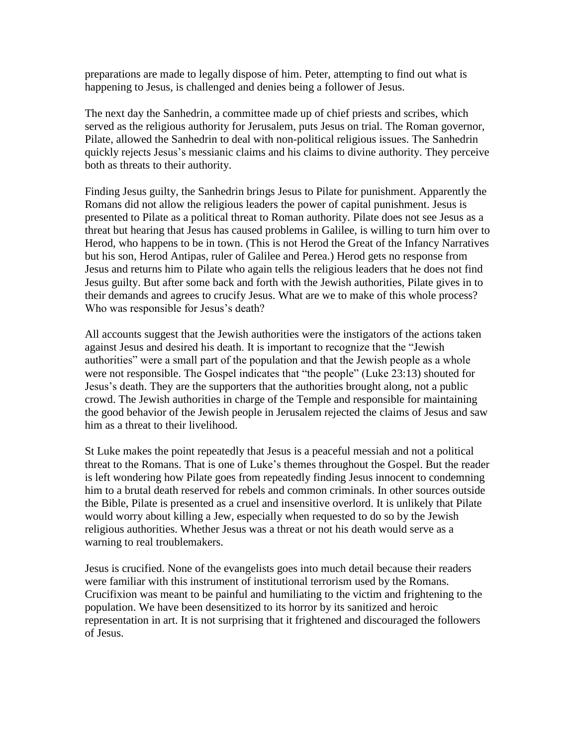preparations are made to legally dispose of him. Peter, attempting to find out what is happening to Jesus, is challenged and denies being a follower of Jesus.

The next day the Sanhedrin, a committee made up of chief priests and scribes, which served as the religious authority for Jerusalem, puts Jesus on trial. The Roman governor, Pilate, allowed the Sanhedrin to deal with non-political religious issues. The Sanhedrin quickly rejects Jesus's messianic claims and his claims to divine authority. They perceive both as threats to their authority.

Finding Jesus guilty, the Sanhedrin brings Jesus to Pilate for punishment. Apparently the Romans did not allow the religious leaders the power of capital punishment. Jesus is presented to Pilate as a political threat to Roman authority. Pilate does not see Jesus as a threat but hearing that Jesus has caused problems in Galilee, is willing to turn him over to Herod, who happens to be in town. (This is not Herod the Great of the Infancy Narratives but his son, Herod Antipas, ruler of Galilee and Perea.) Herod gets no response from Jesus and returns him to Pilate who again tells the religious leaders that he does not find Jesus guilty. But after some back and forth with the Jewish authorities, Pilate gives in to their demands and agrees to crucify Jesus. What are we to make of this whole process? Who was responsible for Jesus's death?

All accounts suggest that the Jewish authorities were the instigators of the actions taken against Jesus and desired his death. It is important to recognize that the "Jewish authorities" were a small part of the population and that the Jewish people as a whole were not responsible. The Gospel indicates that "the people" (Luke 23:13) shouted for Jesus's death. They are the supporters that the authorities brought along, not a public crowd. The Jewish authorities in charge of the Temple and responsible for maintaining the good behavior of the Jewish people in Jerusalem rejected the claims of Jesus and saw him as a threat to their livelihood.

St Luke makes the point repeatedly that Jesus is a peaceful messiah and not a political threat to the Romans. That is one of Luke's themes throughout the Gospel. But the reader is left wondering how Pilate goes from repeatedly finding Jesus innocent to condemning him to a brutal death reserved for rebels and common criminals. In other sources outside the Bible, Pilate is presented as a cruel and insensitive overlord. It is unlikely that Pilate would worry about killing a Jew, especially when requested to do so by the Jewish religious authorities. Whether Jesus was a threat or not his death would serve as a warning to real troublemakers.

Jesus is crucified. None of the evangelists goes into much detail because their readers were familiar with this instrument of institutional terrorism used by the Romans. Crucifixion was meant to be painful and humiliating to the victim and frightening to the population. We have been desensitized to its horror by its sanitized and heroic representation in art. It is not surprising that it frightened and discouraged the followers of Jesus.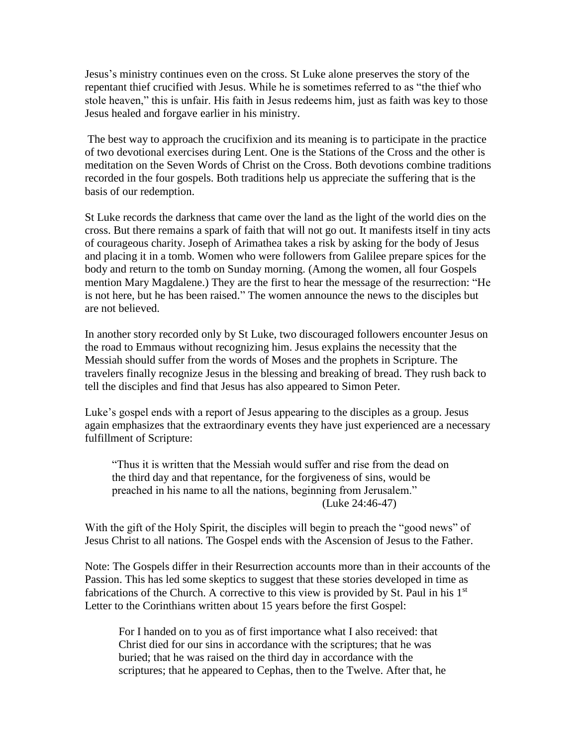Jesus's ministry continues even on the cross. St Luke alone preserves the story of the repentant thief crucified with Jesus. While he is sometimes referred to as "the thief who stole heaven," this is unfair. His faith in Jesus redeems him, just as faith was key to those Jesus healed and forgave earlier in his ministry.

The best way to approach the crucifixion and its meaning is to participate in the practice of two devotional exercises during Lent. One is the Stations of the Cross and the other is meditation on the Seven Words of Christ on the Cross. Both devotions combine traditions recorded in the four gospels. Both traditions help us appreciate the suffering that is the basis of our redemption.

St Luke records the darkness that came over the land as the light of the world dies on the cross. But there remains a spark of faith that will not go out. It manifests itself in tiny acts of courageous charity. Joseph of Arimathea takes a risk by asking for the body of Jesus and placing it in a tomb. Women who were followers from Galilee prepare spices for the body and return to the tomb on Sunday morning. (Among the women, all four Gospels mention Mary Magdalene.) They are the first to hear the message of the resurrection: "He is not here, but he has been raised." The women announce the news to the disciples but are not believed.

In another story recorded only by St Luke, two discouraged followers encounter Jesus on the road to Emmaus without recognizing him. Jesus explains the necessity that the Messiah should suffer from the words of Moses and the prophets in Scripture. The travelers finally recognize Jesus in the blessing and breaking of bread. They rush back to tell the disciples and find that Jesus has also appeared to Simon Peter.

Luke's gospel ends with a report of Jesus appearing to the disciples as a group. Jesus again emphasizes that the extraordinary events they have just experienced are a necessary fulfillment of Scripture:

"Thus it is written that the Messiah would suffer and rise from the dead on the third day and that repentance, for the forgiveness of sins, would be preached in his name to all the nations, beginning from Jerusalem." (Luke 24:46-47)

With the gift of the Holy Spirit, the disciples will begin to preach the "good news" of Jesus Christ to all nations. The Gospel ends with the Ascension of Jesus to the Father.

Note: The Gospels differ in their Resurrection accounts more than in their accounts of the Passion. This has led some skeptics to suggest that these stories developed in time as fabrications of the Church. A corrective to this view is provided by St. Paul in his  $1<sup>st</sup>$ Letter to the Corinthians written about 15 years before the first Gospel:

For I handed on to you as of first importance what I also received: that Christ died for our sins in accordance with the scriptures; that he was buried; that he was raised on the third day in accordance with the scriptures; that he appeared to Cephas, then to the Twelve. After that, he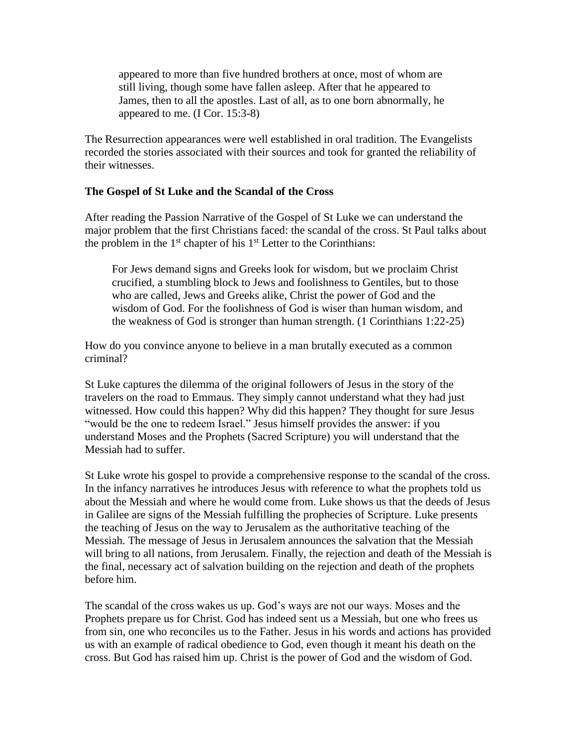appeared to more than five hundred brothers at once, most of whom are still living, though some have fallen asleep. After that he appeared to James, then to all the apostles. Last of all, as to one born abnormally, he appeared to me. (I Cor. 15:3-8)

The Resurrection appearances were well established in oral tradition. The Evangelists recorded the stories associated with their sources and took for granted the reliability of their witnesses.

#### **The Gospel of St Luke and the Scandal of the Cross**

After reading the Passion Narrative of the Gospel of St Luke we can understand the major problem that the first Christians faced: the scandal of the cross. St Paul talks about the problem in the  $1<sup>st</sup>$  chapter of his  $1<sup>st</sup>$  Letter to the Corinthians:

For Jews demand signs and Greeks look for wisdom, but we proclaim Christ crucified, a stumbling block to Jews and foolishness to Gentiles, but to those who are called, Jews and Greeks alike, Christ the power of God and the wisdom of God. For the foolishness of God is wiser than human wisdom, and the weakness of God is stronger than human strength. (1 Corinthians 1:22-25)

How do you convince anyone to believe in a man brutally executed as a common criminal?

St Luke captures the dilemma of the original followers of Jesus in the story of the travelers on the road to Emmaus. They simply cannot understand what they had just witnessed. How could this happen? Why did this happen? They thought for sure Jesus "would be the one to redeem Israel." Jesus himself provides the answer: if you understand Moses and the Prophets (Sacred Scripture) you will understand that the Messiah had to suffer.

St Luke wrote his gospel to provide a comprehensive response to the scandal of the cross. In the infancy narratives he introduces Jesus with reference to what the prophets told us about the Messiah and where he would come from. Luke shows us that the deeds of Jesus in Galilee are signs of the Messiah fulfilling the prophecies of Scripture. Luke presents the teaching of Jesus on the way to Jerusalem as the authoritative teaching of the Messiah. The message of Jesus in Jerusalem announces the salvation that the Messiah will bring to all nations, from Jerusalem. Finally, the rejection and death of the Messiah is the final, necessary act of salvation building on the rejection and death of the prophets before him.

The scandal of the cross wakes us up. God's ways are not our ways. Moses and the Prophets prepare us for Christ. God has indeed sent us a Messiah, but one who frees us from sin, one who reconciles us to the Father. Jesus in his words and actions has provided us with an example of radical obedience to God, even though it meant his death on the cross. But God has raised him up. Christ is the power of God and the wisdom of God.